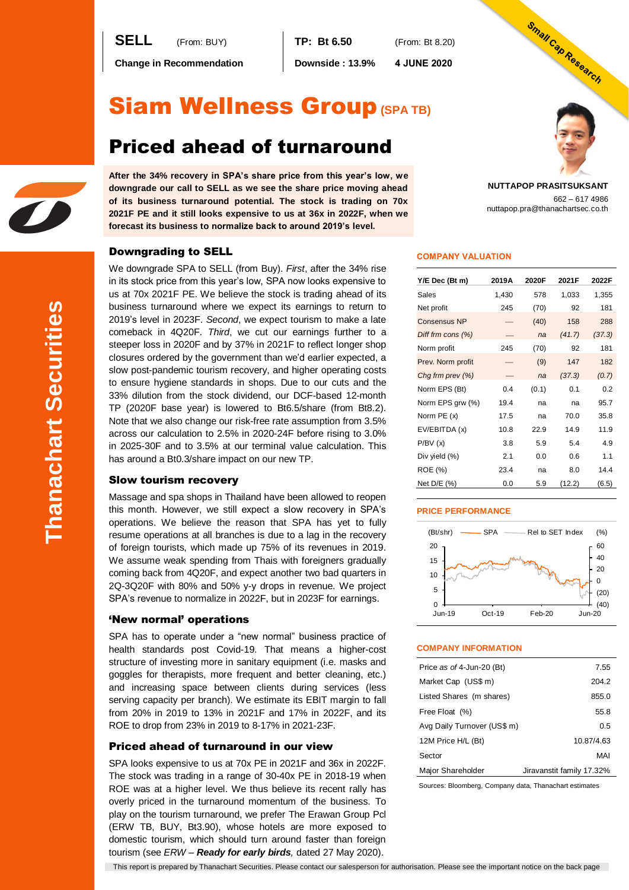**SELL** (From: BUY) **TP: Bt 6.50** (From: Bt 8.20)

**Change in Recommendation Downside : 13.9% 4 JUNE 2020**

# Siam Wellness Group**(SPA TB)**

# Priced ahead of turnaround

**After the 34% recovery in SPA's share price from this year's low, we downgrade our call to SELL as we see the share price moving ahead of its business turnaround potential. The stock is trading on 70x 2021F PE and it still looks expensive to us at 36x in 2022F, when we forecast its business to normalize back to around 2019's level.**

# Downgrading to SELL

We downgrade SPA to SELL (from Buy). *First*, after the 34% rise in its stock price from this year's low, SPA now looks expensive to us at 70x 2021F PE. We believe the stock is trading ahead of its business turnaround where we expect its earnings to return to 2019's level in 2023F. *Second*, we expect tourism to make a late comeback in 4Q20F. *Third*, we cut our earnings further to a steeper loss in 2020F and by 37% in 2021F to reflect longer shop closures ordered by the government than we'd earlier expected, a slow post-pandemic tourism recovery, and higher operating costs to ensure hygiene standards in shops. Due to our cuts and the 33% dilution from the stock dividend, our DCF-based 12-month TP (2020F base year) is lowered to Bt6.5/share (from Bt8.2). Note that we also change our risk-free rate assumption from 3.5% across our calculation to 2.5% in 2020-24F before rising to 3.0% in 2025-30F and to 3.5% at our terminal value calculation. This has around a Bt0.3/share impact on our new TP.

## Slow tourism recovery

Massage and spa shops in Thailand have been allowed to reopen this month. However, we still expect a slow recovery in SPA's operations. We believe the reason that SPA has yet to fully resume operations at all branches is due to a lag in the recovery of foreign tourists, which made up 75% of its revenues in 2019. We assume weak spending from Thais with foreigners gradually coming back from 4Q20F, and expect another two bad quarters in 2Q-3Q20F with 80% and 50% y-y drops in revenue. We project SPA's revenue to normalize in 2022F, but in 2023F for earnings.

## 'New normal' operations

SPA has to operate under a "new normal" business practice of health standards post Covid-19. That means a higher-cost structure of investing more in sanitary equipment (i.e. masks and goggles for therapists, more frequent and better cleaning, etc.) and increasing space between clients during services (less serving capacity per branch). We estimate its EBIT margin to fall from 20% in 2019 to 13% in 2021F and 17% in 2022F, and its ROE to drop from 23% in 2019 to 8-17% in 2021-23F.

## Priced ahead of turnaround in our view

SPA looks expensive to us at 70x PE in 2021F and 36x in 2022F. The stock was trading in a range of 30-40x PE in 2018-19 when ROE was at a higher level. We thus believe its recent rally has overly priced in the turnaround momentum of the business. To play on the tourism turnaround, we prefer The Erawan Group Pcl (ERW TB, BUY, Bt3.90), whose hotels are more exposed to domestic tourism, which should turn around faster than foreign tourism (see *ERW – Ready for early birds,* dated 27 May 2020).



# **COMPANY VALUATION**

| Y/E Dec (Bt m)      | 2019A | 2020F | 2021F  | 2022F  |
|---------------------|-------|-------|--------|--------|
| Sales               | 1,430 | 578   | 1,033  | 1,355  |
| Net profit          | 245   | (70)  | 92     | 181    |
| <b>Consensus NP</b> |       | (40)  | 158    | 288    |
| Diff frm cons (%)   |       | na    | (41.7) | (37.3) |
| Norm profit         | 245   | (70)  | 92     | 181    |
| Prev. Norm profit   |       | (9)   | 147    | 182    |
| Chg frm prev $(\%)$ |       | na    | (37.3) | (0.7)  |
| Norm EPS (Bt)       | 0.4   | (0.1) | 0.1    | 0.2    |
| Norm EPS grw (%)    | 19.4  | na    | na     | 95.7   |
| Norm PE (x)         | 17.5  | na    | 70.0   | 35.8   |
| EV/EBITDA (x)       | 10.8  | 22.9  | 14.9   | 11.9   |
| P/BV(x)             | 3.8   | 5.9   | 5.4    | 4.9    |
| Div yield (%)       | 2.1   | 0.0   | 0.6    | 1.1    |
| ROE (%)             | 23.4  | na    | 8.0    | 14.4   |
| Net D/E (%)         | 0.0   | 5.9   | (12.2) | (6.5)  |

#### **PRICE PERFORMANCE**



#### **COMPANY INFORMATION**

| Price as of 4-Jun-20 (Bt)   | 7.55                      |
|-----------------------------|---------------------------|
| Market Cap (US\$ m)         | 204.2                     |
| Listed Shares (m shares)    | 855.0                     |
| Free Float (%)              | 55.8                      |
| Avg Daily Turnover (US\$ m) | 0.5                       |
| 12M Price H/L (Bt)          | 10.87/4.63                |
| Sector                      | MAI                       |
| Major Shareholder           | Jiravanstit family 17.32% |

Sources: Bloomberg, Company data, Thanachart estimates

This report is prepared by Thanachart Securities. Please contact our salesperson for authorisation. Please see the important notice on the back page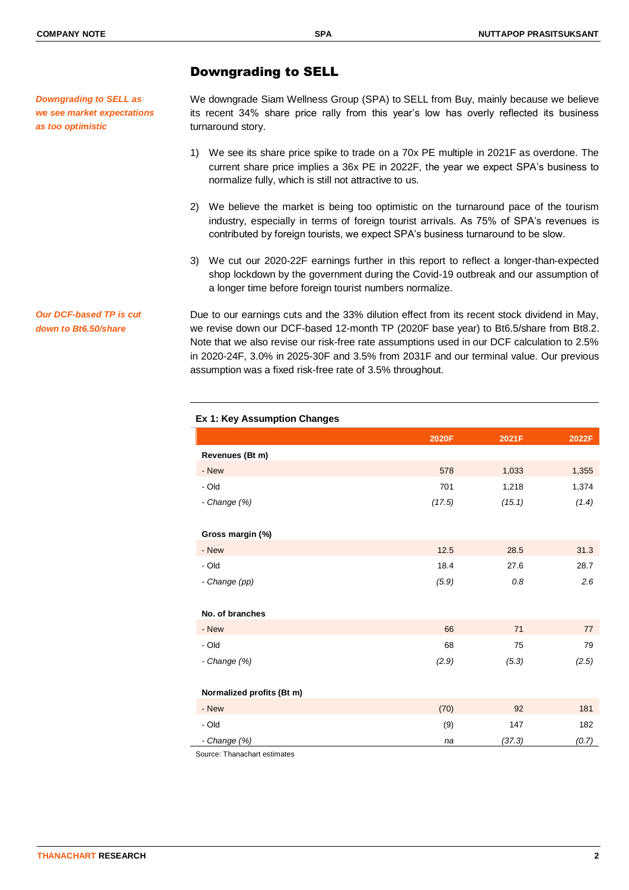*Downgrading to SELL as we see market expectations as too optimistic* 

*Our DCF-based TP is cut down to Bt6.50/share*

# Downgrading to SELL

We downgrade Siam Wellness Group (SPA) to SELL from Buy, mainly because we believe its recent 34% share price rally from this year's low has overly reflected its business turnaround story.

- 1) We see its share price spike to trade on a 70x PE multiple in 2021F as overdone. The current share price implies a 36x PE in 2022F, the year we expect SPA's business to normalize fully, which is still not attractive to us.
- 2) We believe the market is being too optimistic on the turnaround pace of the tourism industry, especially in terms of foreign tourist arrivals. As 75% of SPA's revenues is contributed by foreign tourists, we expect SPA's business turnaround to be slow.
- 3) We cut our 2020-22F earnings further in this report to reflect a longer-than-expected shop lockdown by the government during the Covid-19 outbreak and our assumption of a longer time before foreign tourist numbers normalize.

Due to our earnings cuts and the 33% dilution effect from its recent stock dividend in May, we revise down our DCF-based 12-month TP (2020F base year) to Bt6.5/share from Bt8.2. Note that we also revise our risk-free rate assumptions used in our DCF calculation to 2.5% in 2020-24F, 3.0% in 2025-30F and 3.5% from 2031F and our terminal value. Our previous assumption was a fixed risk-free rate of 3.5% throughout.

|                           | 2020F  | 2021F  | 2022F |
|---------------------------|--------|--------|-------|
| Revenues (Bt m)           |        |        |       |
| - New                     | 578    | 1,033  | 1,355 |
| - Old                     | 701    | 1,218  | 1,374 |
| - Change (%)              | (17.5) | (15.1) | (1.4) |
|                           |        |        |       |
| Gross margin (%)          |        |        |       |
| - New                     | 12.5   | 28.5   | 31.3  |
| - Old                     | 18.4   | 27.6   | 28.7  |
| - Change (pp)             | (5.9)  | 0.8    | 2.6   |
|                           |        |        |       |
| No. of branches           |        |        |       |
| - New                     | 66     | 71     | 77    |
| - Old                     | 68     | 75     | 79    |
| - Change (%)              | (2.9)  | (5.3)  | (2.5) |
|                           |        |        |       |
| Normalized profits (Bt m) |        |        |       |
| - New                     | (70)   | 92     | 181   |
| - Old                     | (9)    | 147    | 182   |
| - Change (%)              | na     | (37.3) | (0.7) |

### **Ex 1: Key Assumption Changes**

Source: Thanachart estimates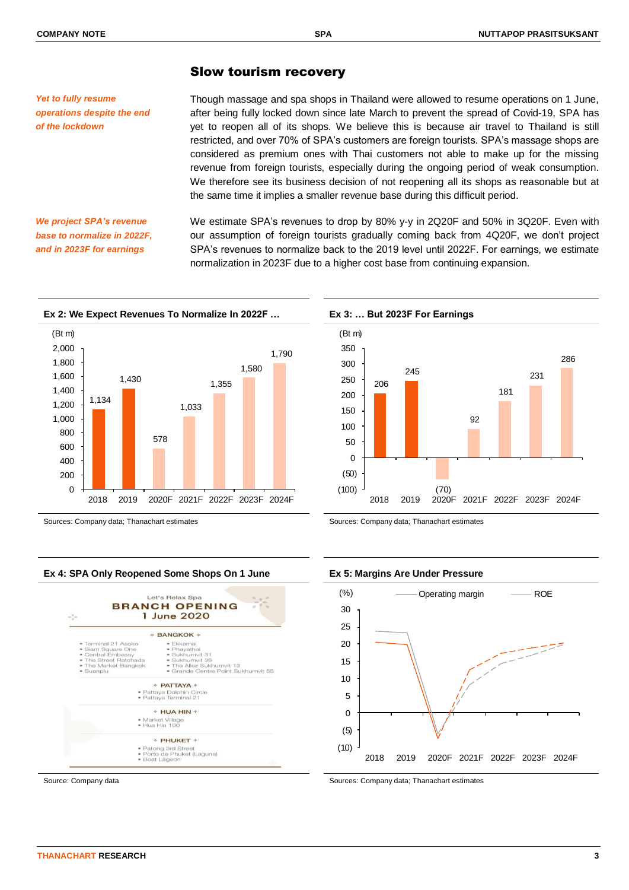*Yet to fully resume* 

*of the lockdown*

*operations despite the end* 

# Slow tourism recovery

Though massage and spa shops in Thailand were allowed to resume operations on 1 June, after being fully locked down since late March to prevent the spread of Covid-19, SPA has yet to reopen all of its shops. We believe this is because air travel to Thailand is still restricted, and over 70% of SPA's customers are foreign tourists. SPA's massage shops are considered as premium ones with Thai customers not able to make up for the missing revenue from foreign tourists, especially during the ongoing period of weak consumption. We therefore see its business decision of not reopening all its shops as reasonable but at the same time it implies a smaller revenue base during this difficult period.

*We project SPA's revenue base to normalize in 2022F, and in 2023F for earnings*

We estimate SPA's revenues to drop by 80% y-y in 2Q20F and 50% in 3Q20F. Even with our assumption of foreign tourists gradually coming back from 4Q20F, we don't project SPA's revenues to normalize back to the 2019 level until 2022F. For earnings, we estimate normalization in 2023F due to a higher cost base from continuing expansion.





Sources: Company data; Thanachart estimates Sources: Company data; Thanachart estimates

### **Ex 4: SPA Only Reopened Some Shops On 1 June Ex 5: Margins Are Under Pressure**







Source: Company data Sources: Company data; Thanachart estimates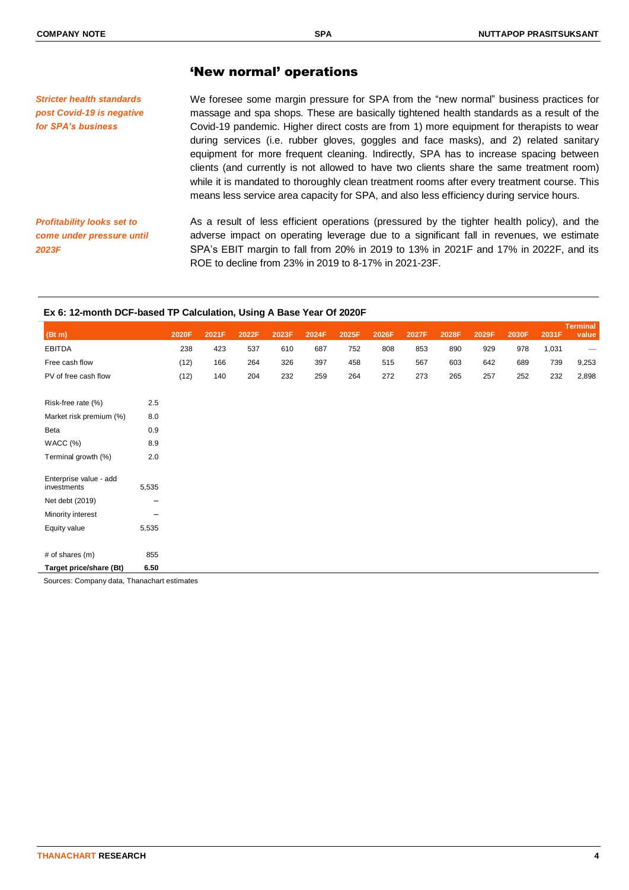*for SPA's business*

# 'New normal' operations

We foresee some margin pressure for SPA from the "new normal" business practices for massage and spa shops. These are basically tightened health standards as a result of the Covid-19 pandemic. Higher direct costs are from 1) more equipment for therapists to wear during services (i.e. rubber gloves, goggles and face masks), and 2) related sanitary equipment for more frequent cleaning. Indirectly, SPA has to increase spacing between clients (and currently is not allowed to have two clients share the same treatment room) while it is mandated to thoroughly clean treatment rooms after every treatment course. This means less service area capacity for SPA, and also less efficiency during service hours. *Stricter health standards post Covid-19 is negative* 

*Profitability looks set to come under pressure until 2023F*

As a result of less efficient operations (pressured by the tighter health policy), and the adverse impact on operating leverage due to a significant fall in revenues, we estimate SPA's EBIT margin to fall from 20% in 2019 to 13% in 2021F and 17% in 2022F, and its ROE to decline from 23% in 2019 to 8-17% in 2021-23F.

#### **Ex 6: 12-month DCF-based TP Calculation, Using A Base Year Of 2020F**

|                                       |       |       |       |       |       |       |       |       |       |       |       |       |       | <b>Terminal</b>   |
|---------------------------------------|-------|-------|-------|-------|-------|-------|-------|-------|-------|-------|-------|-------|-------|-------------------|
| (Bt m)                                |       | 2020F | 2021F | 2022F | 2023F | 2024F | 2025F | 2026F | 2027F | 2028F | 2029F | 2030F | 2031F | value             |
| <b>EBITDA</b>                         |       | 238   | 423   | 537   | 610   | 687   | 752   | 808   | 853   | 890   | 929   | 978   | 1,031 | $\hspace{0.05cm}$ |
| Free cash flow                        |       | (12)  | 166   | 264   | 326   | 397   | 458   | 515   | 567   | 603   | 642   | 689   | 739   | 9,253             |
| PV of free cash flow                  |       | (12)  | 140   | 204   | 232   | 259   | 264   | 272   | 273   | 265   | 257   | 252   | 232   | 2,898             |
|                                       |       |       |       |       |       |       |       |       |       |       |       |       |       |                   |
| Risk-free rate (%)                    | 2.5   |       |       |       |       |       |       |       |       |       |       |       |       |                   |
| Market risk premium (%)               | 8.0   |       |       |       |       |       |       |       |       |       |       |       |       |                   |
| Beta                                  | 0.9   |       |       |       |       |       |       |       |       |       |       |       |       |                   |
| WACC (%)                              | 8.9   |       |       |       |       |       |       |       |       |       |       |       |       |                   |
| Terminal growth (%)                   | 2.0   |       |       |       |       |       |       |       |       |       |       |       |       |                   |
|                                       |       |       |       |       |       |       |       |       |       |       |       |       |       |                   |
| Enterprise value - add<br>investments | 5,535 |       |       |       |       |       |       |       |       |       |       |       |       |                   |
| Net debt (2019)                       | —     |       |       |       |       |       |       |       |       |       |       |       |       |                   |
| Minority interest                     | -     |       |       |       |       |       |       |       |       |       |       |       |       |                   |
| Equity value                          | 5,535 |       |       |       |       |       |       |       |       |       |       |       |       |                   |
|                                       |       |       |       |       |       |       |       |       |       |       |       |       |       |                   |
| # of shares (m)                       | 855   |       |       |       |       |       |       |       |       |       |       |       |       |                   |
| Target price/share (Bt)               | 6.50  |       |       |       |       |       |       |       |       |       |       |       |       |                   |
|                                       |       |       |       |       |       |       |       |       |       |       |       |       |       |                   |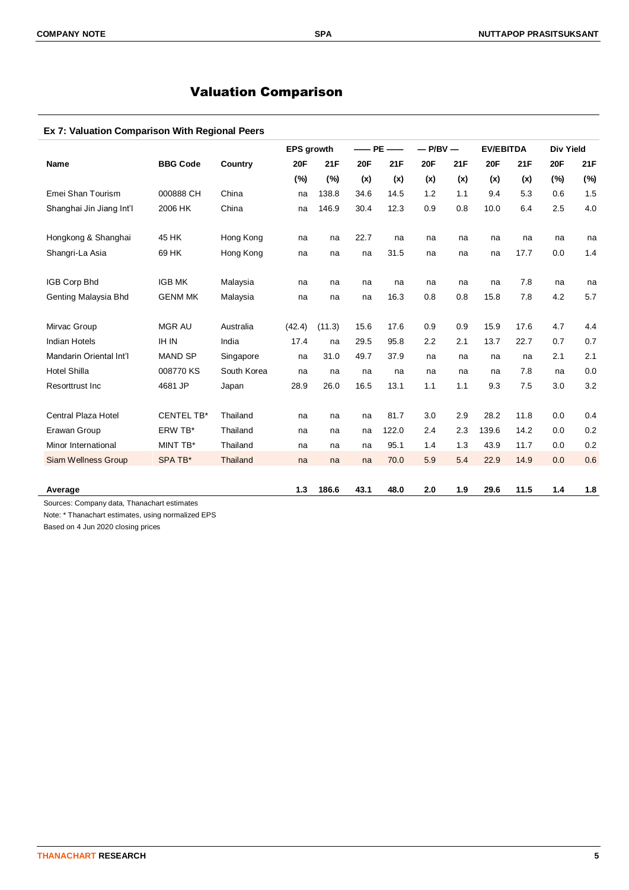# Valuation Comparison

# **Ex 7: Valuation Comparison With Regional Peers**

|                          |                   |                 | <b>EPS growth</b> |        |            | $-$ PE $-$ | $-$ P/BV $-$ |     | <b>EV/EBITDA</b> |      | <b>Div Yield</b> |     |
|--------------------------|-------------------|-----------------|-------------------|--------|------------|------------|--------------|-----|------------------|------|------------------|-----|
| <b>Name</b>              | <b>BBG Code</b>   | Country         | <b>20F</b>        | 21F    | <b>20F</b> | 21F        | <b>20F</b>   | 21F | <b>20F</b>       | 21F  | <b>20F</b>       | 21F |
|                          |                   |                 | (%)               | (%)    | (x)        | (x)        | (x)          | (x) | (x)              | (x)  | (%)              | (%) |
| Emei Shan Tourism        | 000888 CH         | China           | na                | 138.8  | 34.6       | 14.5       | 1.2          | 1.1 | 9.4              | 5.3  | 0.6              | 1.5 |
| Shanghai Jin Jiang Int'l | 2006 HK           | China           | na                | 146.9  | 30.4       | 12.3       | 0.9          | 0.8 | 10.0             | 6.4  | 2.5              | 4.0 |
| Hongkong & Shanghai      | 45 HK             | Hong Kong       | na                | na     | 22.7       | na         | na           | na  | na               | na   | na               | na  |
| Shangri-La Asia          | 69 HK             | Hong Kong       | na                | na     | na         | 31.5       | na           | na  | na               | 17.7 | 0.0              | 1.4 |
| <b>IGB Corp Bhd</b>      | <b>IGB MK</b>     | Malaysia        | na                | na     | na         | na         | na           | na  | na               | 7.8  | na               | na  |
| Genting Malaysia Bhd     | <b>GENM MK</b>    | Malaysia        | na                | na     | na         | 16.3       | 0.8          | 0.8 | 15.8             | 7.8  | 4.2              | 5.7 |
| Mirvac Group             | <b>MGR AU</b>     | Australia       | (42.4)            | (11.3) | 15.6       | 17.6       | 0.9          | 0.9 | 15.9             | 17.6 | 4.7              | 4.4 |
| <b>Indian Hotels</b>     | <b>IH IN</b>      | India           | 17.4              | na     | 29.5       | 95.8       | 2.2          | 2.1 | 13.7             | 22.7 | 0.7              | 0.7 |
| Mandarin Oriental Int'l  | <b>MAND SP</b>    | Singapore       | na                | 31.0   | 49.7       | 37.9       | na           | na  | na               | na   | 2.1              | 2.1 |
| <b>Hotel Shilla</b>      | 008770 KS         | South Korea     | na                | na     | na         | na         | na           | na  | na               | 7.8  | na               | 0.0 |
| Resorttrust Inc.         | 4681 JP           | Japan           | 28.9              | 26.0   | 16.5       | 13.1       | 1.1          | 1.1 | 9.3              | 7.5  | 3.0              | 3.2 |
| Central Plaza Hotel      | <b>CENTEL TB*</b> | Thailand        | na                | na     | na         | 81.7       | 3.0          | 2.9 | 28.2             | 11.8 | 0.0              | 0.4 |
| Erawan Group             | ERW TB*           | Thailand        | na                | na     | na         | 122.0      | 2.4          | 2.3 | 139.6            | 14.2 | 0.0              | 0.2 |
| Minor International      | MINT TB*          | Thailand        | na                | na     | na         | 95.1       | 1.4          | 1.3 | 43.9             | 11.7 | 0.0              | 0.2 |
| Siam Wellness Group      | SPA TB*           | <b>Thailand</b> | na                | na     | na         | 70.0       | 5.9          | 5.4 | 22.9             | 14.9 | 0.0              | 0.6 |
| Average                  |                   |                 | 1.3               | 186.6  | 43.1       | 48.0       | 2.0          | 1.9 | 29.6             | 11.5 | 1.4              | 1.8 |

Note: \* Thanachart estimates, using normalized EPS

Based on 4 Jun 2020 closing prices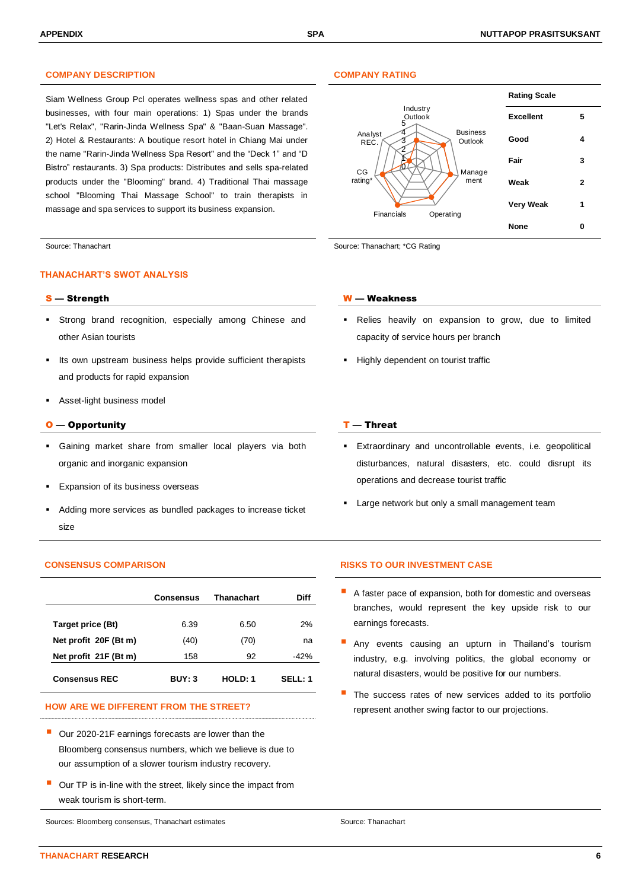### **COMPANY DESCRIPTION COMPANY RATING**

Siam Wellness Group Pcl operates wellness spas and other related businesses, with four main operations: 1) Spas under the brands "Let's Relax", "Rarin-Jinda Wellness Spa" & "Baan-Suan Massage". 2) Hotel & Restaurants: A boutique resort hotel in Chiang Mai under the name "Rarin-Jinda Wellness Spa Resort" and the "Deck 1" and "D Bistro" restaurants. 3) Spa products: Distributes and sells spa-related products under the "Blooming" brand. 4) Traditional Thai massage school "Blooming Thai Massage School" to train therapists in massage and spa services to support its business expansion.

### **THANACHART'S SWOT ANALYSIS**

- Strong brand recognition, especially among Chinese and other Asian tourists
- Its own upstream business helps provide sufficient therapists and products for rapid expansion
- Asset-light business model

#### $O$  — Opportunity  $I$  — Threat

- Gaining market share from smaller local players via both organic and inorganic expansion
- Expansion of its business overseas
- Adding more services as bundled packages to increase ticket size

|                       | <b>Consensus</b> | Thanachart | Diff    |
|-----------------------|------------------|------------|---------|
| Target price (Bt)     | 6.39             | 6.50       | 2%      |
| Net profit 20F (Bt m) | (40)             | (70)       | na      |
| Net profit 21F (Bt m) | 158              | 92         | $-42%$  |
| <b>Consensus REC</b>  | BUY: 3           | HOLD: 1    | SELL: 1 |

- Our 2020-21F earnings forecasts are lower than the Bloomberg consensus numbers, which we believe is due to our assumption of a slower tourism industry recovery.
- Our TP is in-line with the street, likely since the impact from weak tourism is short-term.

Sources: Bloomberg consensus, Thanachart estimates Source: Thanachart Source: Thanachart



Source: Thanachart **Source: Thanachart**  $\sim$  Source: Thanachart; \*CG Rating

#### S — Strength W — Weakness

- Relies heavily on expansion to grow, due to limited capacity of service hours per branch
- Highly dependent on tourist traffic

- Extraordinary and uncontrollable events, i.e. geopolitical disturbances, natural disasters, etc. could disrupt its operations and decrease tourist traffic
- Large network but only a small management team

### **CONSENSUS COMPARISON RISKS TO OUR INVESTMENT CASE**

- A faster pace of expansion, both for domestic and overseas branches, would represent the key upside risk to our earnings forecasts.
- Any events causing an upturn in Thailand's tourism industry, e.g. involving politics, the global economy or natural disasters, would be positive for our numbers.
- The success rates of new services added to its portfolio HOW ARE WE DIFFERENT FROM THE STREET? **Example 20 and 19 and 19 and 19 and 19 and 19 and 19 and 19 and 19 and 19 and 19 and 19 and 19 and 19 and 19 and 19 and 19 and 19 and 19 and 19 and 19 and 19 and 19 and 19 and 19 and**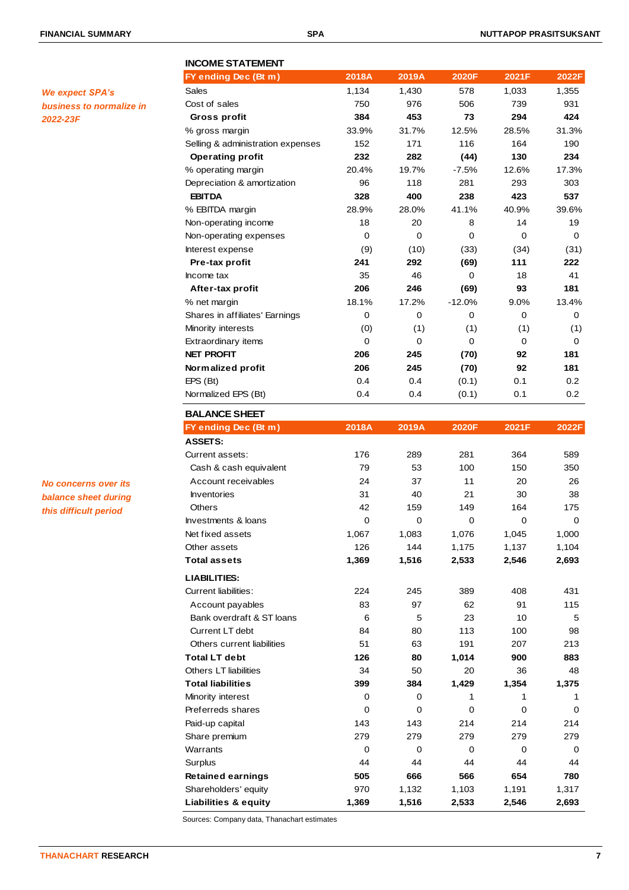*We expect SPA's* 

*2022-23F*

*business to normalize in* 

# **INCOME STATEMENT FY ending Dec (Bt m) 2018A 2019A 2020F 2021F 2022F** Sales 1,134 1,430 578 1,033 1,355 Cost of sales 750 976 506 739 931  **Gross profit 384 453 73 294 424** % gross margin 33.9% 31.7% 12.5% 28.5% 31.3% Selling & administration expenses 152 171 116 164 190  **Operating profit 232 282 (44) 130 234** % operating margin 20.4% 19.7% -7.5% 12.6% 17.3% Depreciation & amortization 96 118 281 293 303  **EBITDA 328 400 238 423 537** % EBITDA margin 28.9% 28.0% 41.1% 40.9% 39.6% Non-operating income 18 20 8 14 19 Non-operating expenses 0 0 0 0 0 0 0 0 0 Interest expense (9) (10) (33) (34) (31)  **Pre-tax profit 241 292 (69) 111 222** Income tax and the set of the set of the set of the set of the set of the set of the set of the set of the set o  **After-tax profit 206 246 (69) 93 181** % net margin 18.1% 17.2% -12.0% 9.0% 13.4% Shares in affiliates' Earnings  $\begin{array}{cccc} 0 & 0 & 0 & 0 \end{array}$ Minority interests (0) (1) (1) (1) (1) Extraordinary items  $\begin{array}{ccccccc} 0 & 0 & 0 & 0 & 0 \end{array}$ **NET PROFIT 206 245 (70) 92 181 Normalized profit 206 245 (70) 92 181** EPS (Bt) 0.4 0.4 (0.1) 0.1 0.2 Normalized EPS (Bt) 0.4 0.4 (0.1) 0.1 0.2 **BALANCE SHEET FY ending Dec (Bt m) 2018A 2019A 2020F 2021F 2022F ASSETS:** Current assets: 176 289 281 364 589 Cash & cash equivalent 79 53 100 150 350 Account receivables **24** 27 11 20 26 Inventories 31 40 21 30 38 Others 2011 125 1264 1264 175 Investments & loans  $\begin{pmatrix} 0 & 0 & 0 \\ 0 & 0 & 0 \end{pmatrix}$ Net fixed assets 1,067 1,083 1,076 1,045 1,000 Other assets 126 144 1,175 1,137 1,104 **Total assets 1,369 1,516 2,533 2,546 2,693 LIABILITIES:** Current liabilities: 224 245 389 408 431 Account payables **83** 97 62 91 115 Bank overdraft & ST loans 6 5 5 23 10 5 Current LT debt 84 80 113 100 98 Others current liabilities  $51$  63 191 207 213 **Total LT debt 126 80 1,014 900 883** Others LT liabilities 34 50 20 36 48 **Total liabilities 399 384 1,429 1,354 1,375** Minority interest and the control of the control of the control of the control of the control of the control of the control of the control of the control of the control of the control of the control of the control of the c Preferreds shares 0 0 0 0 0 Paid-up capital 143 143 214 214 214 Share premium 279 279 279 279 279 Warrants 0 0 0 0 0

Surplus 44 44 44 44 44 **Retained earnings 505 666 566 654 780** Shareholders' equity **970** 1,132 1,103 1,191 1,317 **Liabilities & equity 1,369 1,516 2,533 2,546 2,693**

*No concerns over its balance sheet during this difficult period*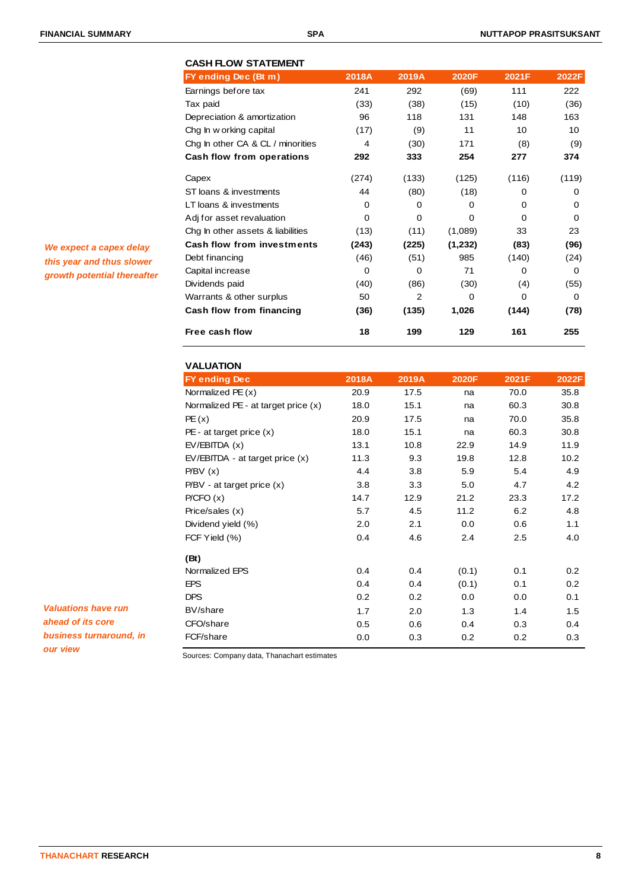| <b>CASH FLOW STATEMENT</b>        |          |       |          |          |          |
|-----------------------------------|----------|-------|----------|----------|----------|
| FY ending Dec (Bt m)              | 2018A    | 2019A | 2020F    | 2021F    | 2022F    |
| Earnings before tax               | 241      | 292   | (69)     | 111      | 222      |
| Tax paid                          | (33)     | (38)  | (15)     | (10)     | (36)     |
| Depreciation & amortization       | 96       | 118   | 131      | 148      | 163      |
| Chg In w orking capital           | (17)     | (9)   | 11       | 10       | 10       |
| Chg In other CA & CL / minorities | 4        | (30)  | 171      | (8)      | (9)      |
| Cash flow from operations         | 292      | 333   | 254      | 277      | 374      |
| Capex                             | (274)    | (133) | (125)    | (116)    | (119)    |
| ST loans & investments            | 44       | (80)  | (18)     | 0        | 0        |
| LT loans & investments            | 0        | 0     | $\Omega$ | $\Omega$ | 0        |
| Adj for asset revaluation         | 0        | 0     | $\Omega$ | $\Omega$ | $\Omega$ |
| Chg In other assets & liabilities | (13)     | (11)  | (1,089)  | 33       | 23       |
| <b>Cash flow from investments</b> | (243)    | (225) | (1,232)  | (83)     | (96)     |
| Debt financing                    | (46)     | (51)  | 985      | (140)    | (24)     |
| Capital increase                  | $\Omega$ | 0     | 71       | $\Omega$ | $\Omega$ |
| Dividends paid                    | (40)     | (86)  | (30)     | (4)      | (55)     |
| Warrants & other surplus          | 50       | 2     | $\Omega$ | $\Omega$ | 0        |
| Cash flow from financing          | (36)     | (135) | 1,026    | (144)    | (78)     |
| Free cash flow                    | 18       | 199   | 129      | 161      | 255      |

**VALUATION FY ending Dec 2018A 2019A 2020F 2021F 2022F** Normalized PE (x) 20.9 17.5 na 70.0 35.8 Normalized PE - at target price (x) 18.0 15.1 na 60.3 30.8 PE (x) 20.9 17.5 na 70.0 35.8 PE - at target price (x) 18.0 15.1 na 60.3 30.8 EV/EBITDA (x) 13.1 10.8 22.9 14.9 11.9 EV/EBITDA - at target price (x) 11.3 9.3 19.8 12.8 10.2 P/BV (x) 4.4 3.8 5.9 5.4 4.9 P/BV - at target price (x) 3.8 3.3 5.0 4.7 4.2 P/CFO (x) 14.7 12.9 21.2 23.3 17.2 Price/sales (x) 5.7 4.5 11.2 6.2 4.8 Dividend yield (%) 2.0 2.1 0.0 0.6 1.1 FCF Yield (%) 0.4 4.6 2.4 2.5 4.0 **(Bt)** Normalized EPS 0.4 0.4 (0.1) 0.1 0.2 EPS 0.4 0.4 (0.1) 0.1 0.2 DPS 0.2 0.2 0.0 0.0 0.1 BV/share 1.7 2.0 1.3 1.4 1.5 CFO/share 0.5 0.6 0.4 0.3 0.4 FCF/share 0.0 0.3 0.2 0.2 0.3

*We expect a capex delay this year and thus slower growth potential thereafter*

*Valuations have run ahead of its core business turnaround, in our view*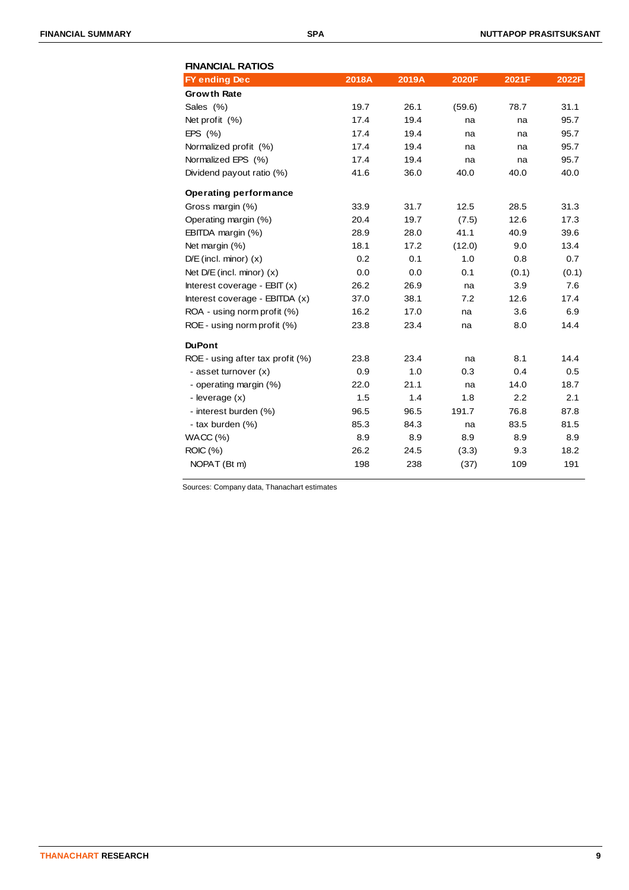| <b>FINANCIAL RATIOS</b>          |       |       |        |       |       |
|----------------------------------|-------|-------|--------|-------|-------|
| <b>FY ending Dec</b>             | 2018A | 2019A | 2020F  | 2021F | 2022F |
| <b>Growth Rate</b>               |       |       |        |       |       |
| Sales (%)                        | 19.7  | 26.1  | (59.6) | 78.7  | 31.1  |
| Net profit (%)                   | 17.4  | 19.4  | na     | na    | 95.7  |
| EPS $(% )$                       | 17.4  | 19.4  | na     | na    | 95.7  |
| Normalized profit (%)            | 17.4  | 19.4  | na     | na    | 95.7  |
| Normalized EPS (%)               | 17.4  | 19.4  | na     | na    | 95.7  |
| Dividend payout ratio (%)        | 41.6  | 36.0  | 40.0   | 40.0  | 40.0  |
| <b>Operating performance</b>     |       |       |        |       |       |
| Gross margin (%)                 | 33.9  | 31.7  | 12.5   | 28.5  | 31.3  |
| Operating margin (%)             | 20.4  | 19.7  | (7.5)  | 12.6  | 17.3  |
| EBITDA margin (%)                | 28.9  | 28.0  | 41.1   | 40.9  | 39.6  |
| Net margin (%)                   | 18.1  | 17.2  | (12.0) | 9.0   | 13.4  |
| $D/E$ (incl. minor) $(x)$        | 0.2   | 0.1   | 1.0    | 0.8   | 0.7   |
| Net $D/E$ (incl. minor) $(x)$    | 0.0   | 0.0   | 0.1    | (0.1) | (0.1) |
| Interest coverage - $EBIT(x)$    | 26.2  | 26.9  | na     | 3.9   | 7.6   |
| Interest coverage - EBITDA (x)   | 37.0  | 38.1  | 7.2    | 12.6  | 17.4  |
| ROA - using norm profit (%)      | 16.2  | 17.0  | na     | 3.6   | 6.9   |
| ROE - using norm profit (%)      | 23.8  | 23.4  | na     | 8.0   | 14.4  |
| <b>DuPont</b>                    |       |       |        |       |       |
| ROE - using after tax profit (%) | 23.8  | 23.4  | na     | 8.1   | 14.4  |
| - asset turnover (x)             | 0.9   | 1.0   | 0.3    | 0.4   | 0.5   |
| - operating margin (%)           | 22.0  | 21.1  | na     | 14.0  | 18.7  |
| - leverage (x)                   | 1.5   | 1.4   | 1.8    | 2.2   | 2.1   |
| - interest burden (%)            | 96.5  | 96.5  | 191.7  | 76.8  | 87.8  |
| - tax burden (%)                 | 85.3  | 84.3  | na     | 83.5  | 81.5  |
| WACC (%)                         | 8.9   | 8.9   | 8.9    | 8.9   | 8.9   |
| ROIC (%)                         | 26.2  | 24.5  | (3.3)  | 9.3   | 18.2  |
| NOPAT (Bt m)                     | 198   | 238   | (37)   | 109   | 191   |
|                                  |       |       |        |       |       |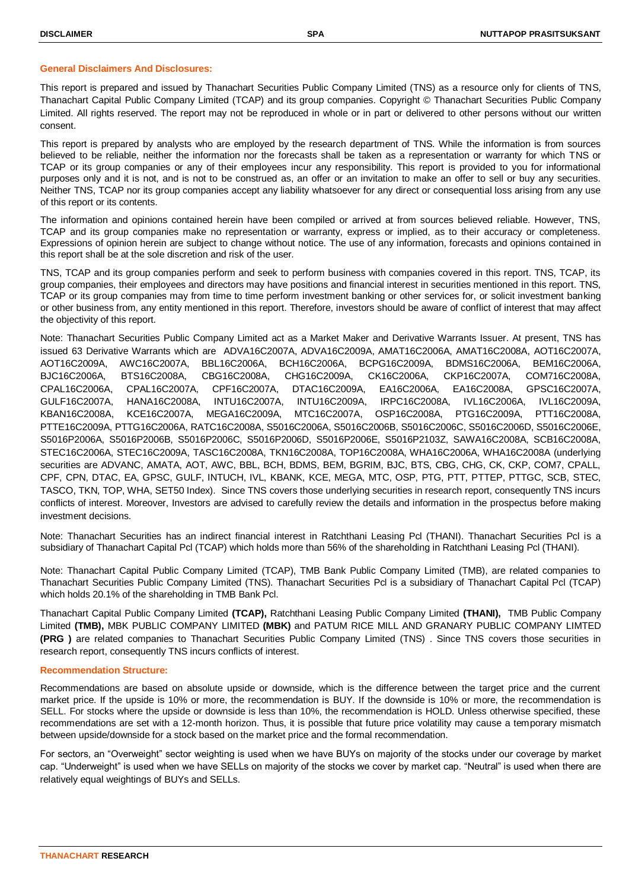### **General Disclaimers And Disclosures:**

This report is prepared and issued by Thanachart Securities Public Company Limited (TNS) as a resource only for clients of TNS, Thanachart Capital Public Company Limited (TCAP) and its group companies. Copyright © Thanachart Securities Public Company Limited. All rights reserved. The report may not be reproduced in whole or in part or delivered to other persons without our written consent.

This report is prepared by analysts who are employed by the research department of TNS. While the information is from sources believed to be reliable, neither the information nor the forecasts shall be taken as a representation or warranty for which TNS or TCAP or its group companies or any of their employees incur any responsibility. This report is provided to you for informational purposes only and it is not, and is not to be construed as, an offer or an invitation to make an offer to sell or buy any securities. Neither TNS, TCAP nor its group companies accept any liability whatsoever for any direct or consequential loss arising from any use of this report or its contents.

The information and opinions contained herein have been compiled or arrived at from sources believed reliable. However, TNS, TCAP and its group companies make no representation or warranty, express or implied, as to their accuracy or completeness. Expressions of opinion herein are subject to change without notice. The use of any information, forecasts and opinions contained in this report shall be at the sole discretion and risk of the user.

TNS, TCAP and its group companies perform and seek to perform business with companies covered in this report. TNS, TCAP, its group companies, their employees and directors may have positions and financial interest in securities mentioned in this report. TNS, TCAP or its group companies may from time to time perform investment banking or other services for, or solicit investment banking or other business from, any entity mentioned in this report. Therefore, investors should be aware of conflict of interest that may affect the objectivity of this report.

Note: Thanachart Securities Public Company Limited act as a Market Maker and Derivative Warrants Issuer. At present, TNS has issued 63 Derivative Warrants which are ADVA16C2007A, ADVA16C2009A, AMAT16C2006A, AMAT16C2008A, AOT16C2007A, AOT16C2009A, AWC16C2007A, BBL16C2006A, BCH16C2006A, BCPG16C2009A, BDMS16C2006A, BEM16C2006A, BJC16C2006A, BTS16C2008A, CBG16C2008A, CHG16C2009A, CK16C2006A, CKP16C2007A, COM716C2008A, CPAL16C2006A, CPAL16C2007A, CPF16C2007A, DTAC16C2009A, EA16C2006A, EA16C2008A, GPSC16C2007A, GULF16C2007A, HANA16C2008A, INTU16C2007A, INTU16C2009A, IRPC16C2008A, IVL16C2006A, IVL16C2009A, KBAN16C2008A, KCE16C2007A, MEGA16C2009A, MTC16C2007A, OSP16C2008A, PTG16C2009A, PTT16C2008A, PTTE16C2009A, PTTG16C2006A, RATC16C2008A, S5016C2006A, S5016C2006B, S5016C2006C, S5016C2006D, S5016C2006E, S5016P2006A, S5016P2006B, S5016P2006C, S5016P2006D, S5016P2006E, S5016P2103Z, SAWA16C2008A, SCB16C2008A, STEC16C2006A, STEC16C2009A, TASC16C2008A, TKN16C2008A, TOP16C2008A, WHA16C2006A, WHA16C2008A (underlying securities are ADVANC, AMATA, AOT, AWC, BBL, BCH, BDMS, BEM, BGRIM, BJC, BTS, CBG, CHG, CK, CKP, COM7, CPALL, CPF, CPN, DTAC, EA, GPSC, GULF, INTUCH, IVL, KBANK, KCE, MEGA, MTC, OSP, PTG, PTT, PTTEP, PTTGC, SCB, STEC, TASCO, TKN, TOP, WHA, SET50 Index). Since TNS covers those underlying securities in research report, consequently TNS incurs conflicts of interest. Moreover, Investors are advised to carefully review the details and information in the prospectus before making investment decisions.

Note: Thanachart Securities has an indirect financial interest in Ratchthani Leasing Pcl (THANI). Thanachart Securities Pcl is a subsidiary of Thanachart Capital Pcl (TCAP) which holds more than 56% of the shareholding in Ratchthani Leasing Pcl (THANI).

Note: Thanachart Capital Public Company Limited (TCAP), TMB Bank Public Company Limited (TMB), are related companies to Thanachart Securities Public Company Limited (TNS). Thanachart Securities Pcl is a subsidiary of Thanachart Capital Pcl (TCAP) which holds 20.1% of the shareholding in TMB Bank Pcl.

Thanachart Capital Public Company Limited **(TCAP),** Ratchthani Leasing Public Company Limited **(THANI),** TMB Public Company Limited **(TMB),** MBK PUBLIC COMPANY LIMITED **(MBK)** and PATUM RICE MILL AND GRANARY PUBLIC COMPANY LIMTED **(PRG )** are related companies to Thanachart Securities Public Company Limited (TNS) . Since TNS covers those securities in research report, consequently TNS incurs conflicts of interest.

### **Recommendation Structure:**

Recommendations are based on absolute upside or downside, which is the difference between the target price and the current market price. If the upside is 10% or more, the recommendation is BUY. If the downside is 10% or more, the recommendation is SELL. For stocks where the upside or downside is less than 10%, the recommendation is HOLD. Unless otherwise specified, these recommendations are set with a 12-month horizon. Thus, it is possible that future price volatility may cause a temporary mismatch between upside/downside for a stock based on the market price and the formal recommendation.

For sectors, an "Overweight" sector weighting is used when we have BUYs on majority of the stocks under our coverage by market cap. "Underweight" is used when we have SELLs on majority of the stocks we cover by market cap. "Neutral" is used when there are relatively equal weightings of BUYs and SELLs.